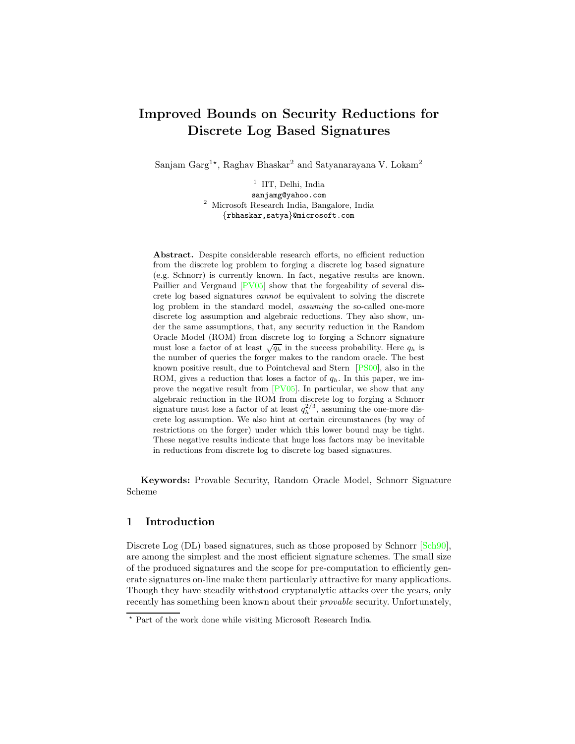## Improved Bounds on Security Reductions for Discrete Log Based Signatures

Sanjam Garg $^{1\star}$ , Raghav Bhaskar $^2$  and Satyanarayana V. Lokam $^2$ 

<sup>1</sup> IIT, Delhi, India sanjamg@yahoo.com <sup>2</sup> Microsoft Research India, Bangalore, India {rbhaskar,satya}@microsoft.com

Abstract. Despite considerable research efforts, no efficient reduction from the discrete log problem to forging a discrete log based signature (e.g. Schnorr) is currently known. In fact, negative results are known. Paillier and Vergnaud  $PV05$  show that the forgeability of several discrete log based signatures cannot be equivalent to solving the discrete log problem in the standard model, assuming the so-called one-more discrete log assumption and algebraic reductions. They also show, under the same assumptions, that, any security reduction in the Random Oracle Model (ROM) from discrete log to forging a Schnorr signature must lose a factor of at least  $\sqrt{q_h}$  in the success probability. Here  $q_h$  is the number of queries the forger makes to the random oracle. The best known positive result, due to Pointcheval and Stern [\[PS00\]](#page-15-1), also in the ROM, gives a reduction that loses a factor of  $q<sub>h</sub>$ . In this paper, we improve the negative result from [\[PV05\]](#page-15-0). In particular, we show that any algebraic reduction in the ROM from discrete log to forging a Schnorr signature must lose a factor of at least  $q_h^{2/3}$ , assuming the one-more discrete log assumption. We also hint at certain circumstances (by way of restrictions on the forger) under which this lower bound may be tight. These negative results indicate that huge loss factors may be inevitable in reductions from discrete log to discrete log based signatures.

Keywords: Provable Security, Random Oracle Model, Schnorr Signature Scheme

### 1 Introduction

Discrete Log (DL) based signatures, such as those proposed by Schnorr  $\lvert Sch.90 \rvert$ , are among the simplest and the most efficient signature schemes. The small size of the produced signatures and the scope for pre-computation to efficiently generate signatures on-line make them particularly attractive for many applications. Though they have steadily withstood cryptanalytic attacks over the years, only recently has something been known about their provable security. Unfortunately,

<sup>⋆</sup> Part of the work done while visiting Microsoft Research India.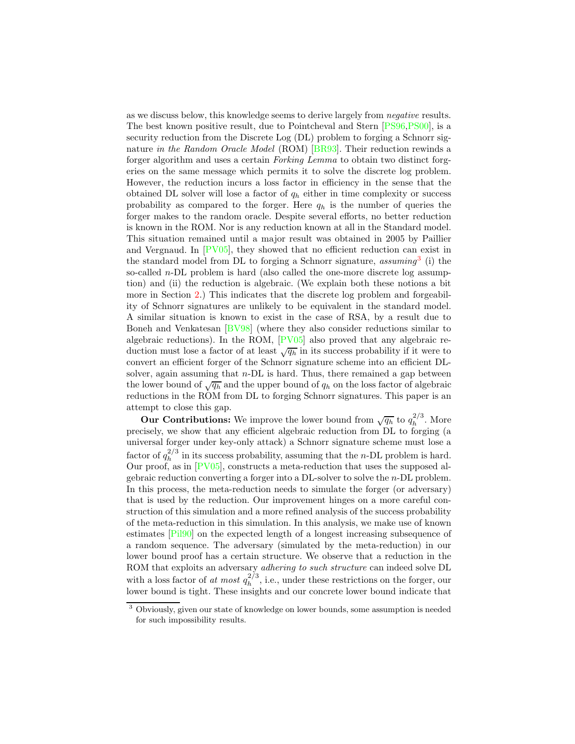as we discuss below, this knowledge seems to derive largely from negative results. The best known positive result, due to Pointcheval and Stern [\[PS96,](#page-14-0)[PS00\]](#page-15-1), is a security reduction from the Discrete Log (DL) problem to forging a Schnorr sig-nature in the Random Oracle Model (ROM) [\[BR93\]](#page-14-1). Their reduction rewinds a forger algorithm and uses a certain Forking Lemma to obtain two distinct forgeries on the same message which permits it to solve the discrete log problem. However, the reduction incurs a loss factor in efficiency in the sense that the obtained DL solver will lose a factor of  $q_h$  either in time complexity or success probability as compared to the forger. Here  $q_h$  is the number of queries the forger makes to the random oracle. Despite several efforts, no better reduction is known in the ROM. Nor is any reduction known at all in the Standard model. This situation remained until a major result was obtained in 2005 by Paillier and Vergnaud. In [\[PV05\]](#page-15-0), they showed that no efficient reduction can exist in the standard model from DL to forging a Schnorr signature,  $assuming^3$  $assuming^3$  (i) the so-called n-DL problem is hard (also called the one-more discrete log assumption) and (ii) the reduction is algebraic. (We explain both these notions a bit more in Section [2.](#page-2-0)) This indicates that the discrete log problem and forgeability of Schnorr signatures are unlikely to be equivalent in the standard model. A similar situation is known to exist in the case of RSA, by a result due to Boneh and Venkatesan [\[BV98\]](#page-14-2) (where they also consider reductions similar to algebraic reductions). In the ROM, [\[PV05\]](#page-15-0) also proved that any algebraic reduction must lose a factor of at least  $\sqrt{q_h}$  in its success probability if it were to convert an efficient forger of the Schnorr signature scheme into an efficient DLsolver, again assuming that  $n$ -DL is hard. Thus, there remained a gap between the lower bound of  $\sqrt{q_h}$  and the upper bound of  $q_h$  on the loss factor of algebraic reductions in the ROM from DL to forging Schnorr signatures. This paper is an attempt to close this gap.

**Our Contributions:** We improve the lower bound from  $\sqrt{q_h}$  to  $q_h^{2/3}$  $h^{\frac{2}{3}}$ . More precisely, we show that any efficient algebraic reduction from DL to forging (a universal forger under key-only attack) a Schnorr signature scheme must lose a factor of  $q_h^{2/3}$  $h_h^{2/3}$  in its success probability, assuming that the *n*-DL problem is hard. Our proof, as in [\[PV05\]](#page-15-0), constructs a meta-reduction that uses the supposed algebraic reduction converting a forger into a DL-solver to solve the n-DL problem. In this process, the meta-reduction needs to simulate the forger (or adversary) that is used by the reduction. Our improvement hinges on a more careful construction of this simulation and a more refined analysis of the success probability of the meta-reduction in this simulation. In this analysis, we make use of known estimates [\[Pil90\]](#page-14-3) on the expected length of a longest increasing subsequence of a random sequence. The adversary (simulated by the meta-reduction) in our lower bound proof has a certain structure. We observe that a reduction in the ROM that exploits an adversary adhering to such structure can indeed solve DL with a loss factor of at most  $q_h^{2/3}$  $h^{2/3}$ , i.e., under these restrictions on the forger, our lower bound is tight. These insights and our concrete lower bound indicate that

<span id="page-1-0"></span><sup>3</sup> Obviously, given our state of knowledge on lower bounds, some assumption is needed for such impossibility results.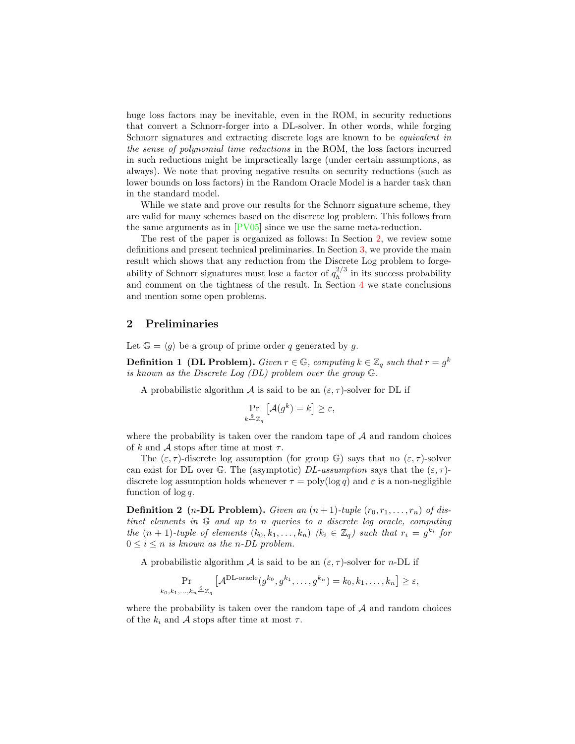huge loss factors may be inevitable, even in the ROM, in security reductions that convert a Schnorr-forger into a DL-solver. In other words, while forging Schnorr signatures and extracting discrete logs are known to be equivalent in the sense of polynomial time reductions in the ROM, the loss factors incurred in such reductions might be impractically large (under certain assumptions, as always). We note that proving negative results on security reductions (such as lower bounds on loss factors) in the Random Oracle Model is a harder task than in the standard model.

While we state and prove our results for the Schnorr signature scheme, they are valid for many schemes based on the discrete log problem. This follows from the same arguments as in  $[PV05]$  since we use the same meta-reduction.

The rest of the paper is organized as follows: In Section [2,](#page-2-0) we review some definitions and present technical preliminaries. In Section [3,](#page-4-0) we provide the main result which shows that any reduction from the Discrete Log problem to forgeability of Schnorr signatures must lose a factor of  $q_h^{2/3}$  $h^2$  in its success probability and comment on the tightness of the result. In Section [4](#page-14-4) we state conclusions and mention some open problems.

#### <span id="page-2-0"></span>2 Preliminaries

Let  $\mathbb{G} = \langle g \rangle$  be a group of prime order q generated by g.

**Definition 1** (DL Problem). Given  $r \in \mathbb{G}$ , computing  $k \in \mathbb{Z}_q$  such that  $r = g^k$ is known as the Discrete Log (DL) problem over the group G.

A probabilistic algorithm A is said to be an  $(\varepsilon, \tau)$ -solver for DL if

$$
\Pr_{k \stackrel{\$}{\sim} \mathbb{Z}_q} \left[ \mathcal{A}(g^k) = k \right] \ge \varepsilon,
$$

where the probability is taken over the random tape of  $A$  and random choices of k and A stops after time at most  $\tau$ .

The  $(\varepsilon, \tau)$ -discrete log assumption (for group G) says that no  $(\varepsilon, \tau)$ -solver can exist for DL over G. The (asymptotic)  $DL-assumption$  says that the  $(\varepsilon, \tau)$ discrete log assumption holds whenever  $\tau = \text{poly}(\log q)$  and  $\varepsilon$  is a non-negligible function of  $\log q$ .

**Definition 2** (*n*-DL Problem). Given an  $(n + 1)$ -tuple  $(r_0, r_1, \ldots, r_n)$  of distinct elements in G and up to n queries to a discrete log oracle, computing the  $(n + 1)$ -tuple of elements  $(k_0, k_1, \ldots, k_n)$   $(k_i \in \mathbb{Z}_q)$  such that  $r_i = g^{k_i}$  for  $0 \leq i \leq n$  is known as the n-DL problem.

A probabilistic algorithm A is said to be an  $(\varepsilon, \tau)$ -solver for *n*-DL if

$$
\Pr_{k_0, k_1, \ldots, k_n \stackrel{\$}{\leftarrow} \mathbb{Z}_q} \left[ \mathcal{A}^{\text{DL-oracle}}(g^{k_0}, g^{k_1}, \ldots, g^{k_n}) = k_0, k_1, \ldots, k_n \right] \geq \varepsilon,
$$

where the probability is taken over the random tape of  $A$  and random choices of the  $k_i$  and A stops after time at most  $\tau$ .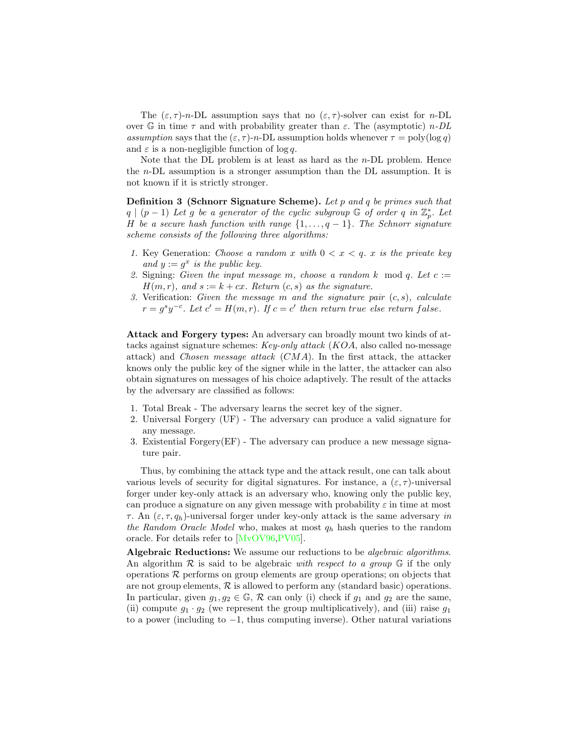The  $(\varepsilon, \tau)$ -n-DL assumption says that no  $(\varepsilon, \tau)$ -solver can exist for n-DL over G in time  $\tau$  and with probability greater than  $\varepsilon$ . The (asymptotic) *n*-DL assumption says that the  $(\varepsilon, \tau)$ -n-DL assumption holds whenever  $\tau = \text{poly}(\log q)$ and  $\varepsilon$  is a non-negligible function of log q.

Note that the DL problem is at least as hard as the  $n$ -DL problem. Hence the n-DL assumption is a stronger assumption than the DL assumption. It is not known if it is strictly stronger.

Definition 3 (Schnorr Signature Scheme). Let p and q be primes such that  $q \mid (p-1)$  Let g be a generator of the cyclic subgroup  $\mathbb G$  of order q in  $\mathbb Z_p^*$ . Let H be a secure hash function with range  $\{1,\ldots,q-1\}$ . The Schnorr signature scheme consists of the following three algorithms:

- 1. Key Generation: Choose a random x with  $0 < x < q$ . x is the private key and  $y := g^x$  is the public key.
- 2. Signing: Given the input message m, choose a random k mod q. Let  $c :=$  $H(m, r)$ , and  $s := k + cx$ . Return  $(c, s)$  as the signature.
- <span id="page-3-0"></span>3. Verification: Given the message m and the signature pair  $(c, s)$ , calculate  $r = g<sup>s</sup>y<sup>-c</sup>$ . Let  $c' = H(m,r)$ . If  $c = c'$  then return true else return false.

Attack and Forgery types: An adversary can broadly mount two kinds of attacks against signature schemes: Key-only attack (KOA, also called no-message attack) and Chosen message attack (CMA). In the first attack, the attacker knows only the public key of the signer while in the latter, the attacker can also obtain signatures on messages of his choice adaptively. The result of the attacks by the adversary are classified as follows:

- 1. Total Break The adversary learns the secret key of the signer.
- 2. Universal Forgery (UF) The adversary can produce a valid signature for any message.
- 3. Existential Forgery(EF) The adversary can produce a new message signature pair.

Thus, by combining the attack type and the attack result, one can talk about various levels of security for digital signatures. For instance, a  $(\varepsilon, \tau)$ -universal forger under key-only attack is an adversary who, knowing only the public key, can produce a signature on any given message with probability  $\varepsilon$  in time at most τ. An  $(ε, τ, q<sub>h</sub>)$ -universal forger under key-only attack is the same adversary in the Random Oracle Model who, makes at most  $q_h$  hash queries to the random oracle. For details refer to [\[MvOV96,](#page-14-5)[PV05\]](#page-15-0).

Algebraic Reductions: We assume our reductions to be algebraic algorithms. An algorithm  $\mathcal R$  is said to be algebraic with respect to a group  $\mathbb G$  if the only operations  $\mathcal R$  performs on group elements are group operations; on objects that are not group elements,  $R$  is allowed to perform any (standard basic) operations. In particular, given  $g_1, g_2 \in \mathbb{G}$ , R can only (i) check if  $g_1$  and  $g_2$  are the same, (ii) compute  $g_1 \cdot g_2$  (we represent the group multiplicatively), and (iii) raise  $g_1$ to a power (including to −1, thus computing inverse). Other natural variations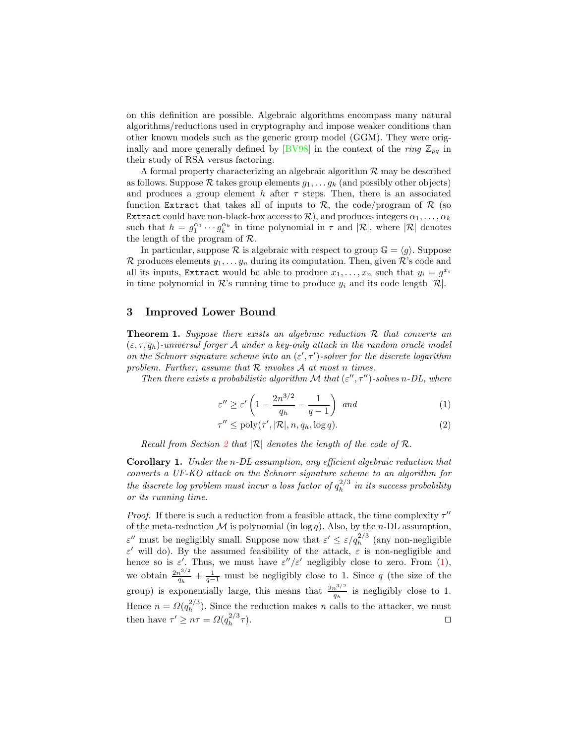on this definition are possible. Algebraic algorithms encompass many natural algorithms/reductions used in cryptography and impose weaker conditions than other known models such as the generic group model (GGM). They were orig-inally and more generally defined by [\[BV98\]](#page-14-2) in the context of the ring  $\mathbb{Z}_{pq}$  in their study of RSA versus factoring.

A formal property characterizing an algebraic algorithm  $R$  may be described as follows. Suppose R takes group elements  $q_1, \ldots, q_k$  (and possibly other objects) and produces a group element h after  $\tau$  steps. Then, there is an associated function Extract that takes all of inputs to  $\mathcal{R}$ , the code/program of  $\mathcal{R}$  (so Extract could have non-black-box access to  $\mathcal{R}$ ), and produces integers  $\alpha_1, \ldots, \alpha_k$ such that  $h = g_1^{\alpha_1} \cdots g_k^{\alpha_k}$  in time polynomial in  $\tau$  and  $|\mathcal{R}|$ , where  $|\mathcal{R}|$  denotes the length of the program of R.

In particular, suppose  $\mathcal R$  is algebraic with respect to group  $\mathbb G = \langle g \rangle$ . Suppose  $\mathcal R$  produces elements  $y_1, \ldots, y_n$  during its computation. Then, given  $\mathcal R$ 's code and all its inputs, Extract would be able to produce  $x_1, \ldots, x_n$  such that  $y_i = g^{x_i}$ in time polynomial in  $\mathcal{R}$ 's running time to produce  $y_i$  and its code length  $|\mathcal{R}|$ .

#### <span id="page-4-2"></span><span id="page-4-0"></span>3 Improved Lower Bound

**Theorem 1.** Suppose there exists an algebraic reduction  $\mathcal{R}$  that converts an  $(\varepsilon, \tau, q_h)$ -universal forger A under a key-only attack in the random oracle model on the Schnorr signature scheme into an  $(\varepsilon', \tau')$ -solver for the discrete logarithm problem. Further, assume that  $R$  invokes  $A$  at most n times.

<span id="page-4-1"></span>Then there exists a probabilistic algorithm  ${\mathcal M}$  that  $(\varepsilon'', \tau'')\mbox{-}solves$  n-DL, where

$$
\varepsilon'' \ge \varepsilon' \left( 1 - \frac{2n^{3/2}}{q_h} - \frac{1}{q - 1} \right) \text{ and } \tag{1}
$$

$$
\tau'' \le \text{poly}(\tau', |\mathcal{R}|, n, q_h, \log q). \tag{2}
$$

Recall from Section [2](#page-2-0) that  $\mathbb{R}$  denotes the length of the code of  $\mathbb{R}$ .

Corollary 1. Under the n-DL assumption, any efficient algebraic reduction that converts a UF-KO attack on the Schnorr signature scheme to an algorithm for the discrete log problem must incur a loss factor of  $q_h^{2/3}$  $h^2$  in its success probability or its running time.

*Proof.* If there is such a reduction from a feasible attack, the time complexity  $\tau''$ of the meta-reduction  $M$  is polynomial (in log q). Also, by the n-DL assumption,  $\varepsilon''$  must be negligibly small. Suppose now that  $\varepsilon' \leq \varepsilon / q_h^{2/3}$  (any non-negligible ε' will do). By the assumed feasibility of the attack,  $ε$  is non-negligible and hence so is  $\varepsilon'$ . Thus, we must have  $\varepsilon''/\varepsilon'$  negligibly close to zero. From [\(1\)](#page-4-1), we obtain  $\frac{2n^{3/2}}{a}$  $\frac{q_0^{3/2}}{q_h} + \frac{1}{q-1}$  must be negligibly close to 1. Since q (the size of the group) is exponentially large, this means that  $\frac{2n^{3/2}}{a}$  $\frac{1}{q_h}$  is negligibly close to 1. Hence  $n = \Omega(q_h^{2/3})$  $h^{2/3}$ ). Since the reduction makes n calls to the attacker, we must then have  $\tau' \geq n\tau = \Omega(q_h^{2/3})$ h  $\tau$ ).  $□$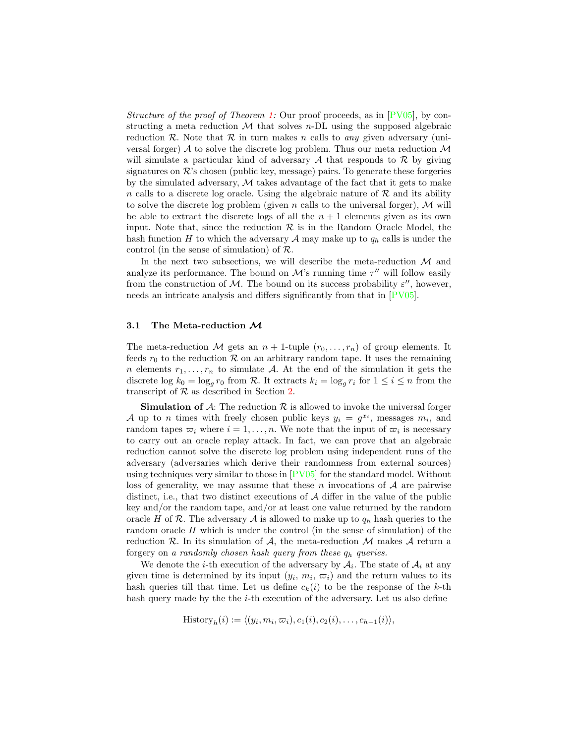Structure of the proof of Theorem [1:](#page-4-2) Our proof proceeds, as in  $[PV05]$ , by constructing a meta reduction  $\mathcal M$  that solves *n*-DL using the supposed algebraic reduction R. Note that R in turn makes n calls to *any* given adversary (universal forger)  $A$  to solve the discrete log problem. Thus our meta reduction  $M$ will simulate a particular kind of adversary  $A$  that responds to  $R$  by giving signatures on  $\mathcal{R}$ 's chosen (public key, message) pairs. To generate these forgeries by the simulated adversary,  $M$  takes advantage of the fact that it gets to make n calls to a discrete log oracle. Using the algebraic nature of  $R$  and its ability to solve the discrete log problem (given n calls to the universal forger),  $\mathcal M$  will be able to extract the discrete logs of all the  $n + 1$  elements given as its own input. Note that, since the reduction  $\mathcal R$  is in the Random Oracle Model, the hash function H to which the adversary A may make up to  $q_h$  calls is under the control (in the sense of simulation) of R.

In the next two subsections, we will describe the meta-reduction  $\mathcal M$  and analyze its performance. The bound on  $\mathcal{M}$ 's running time  $\tau''$  will follow easily from the construction of  $M$ . The bound on its success probability  $\varepsilon''$ , however, needs an intricate analysis and differs significantly from that in [\[PV05\]](#page-15-0).

#### 3.1 The Meta-reduction M

The meta-reduction M gets an  $n + 1$ -tuple  $(r_0, \ldots, r_n)$  of group elements. It feeds  $r_0$  to the reduction  $\mathcal R$  on an arbitrary random tape. It uses the remaining n elements  $r_1, \ldots, r_n$  to simulate A. At the end of the simulation it gets the discrete  $\log k_0 = \log_g r_0$  from R. It extracts  $k_i = \log_g r_i$  for  $1 \le i \le n$  from the transcript of  $R$  as described in Section [2.](#page-2-0)

**Simulation of A:** The reduction  $\mathcal{R}$  is allowed to invoke the universal forger A up to n times with freely chosen public keys  $y_i = g^{x_i}$ , messages  $m_i$ , and random tapes  $\varpi_i$  where  $i = 1, \ldots, n$ . We note that the input of  $\varpi_i$  is necessary to carry out an oracle replay attack. In fact, we can prove that an algebraic reduction cannot solve the discrete log problem using independent runs of the adversary (adversaries which derive their randomness from external sources) using techniques very similar to those in [\[PV05\]](#page-15-0) for the standard model. Without loss of generality, we may assume that these n invocations of  $A$  are pairwise distinct, i.e., that two distinct executions of  $A$  differ in the value of the public key and/or the random tape, and/or at least one value returned by the random oracle H of R. The adversary A is allowed to make up to  $q_h$  hash queries to the random oracle  $H$  which is under the control (in the sense of simulation) of the reduction  $R$ . In its simulation of  $A$ , the meta-reduction  $M$  makes  $A$  return a forgery on a randomly chosen hash query from these  $q_h$  queries.

We denote the *i*-th execution of the adversary by  $A_i$ . The state of  $A_i$  at any given time is determined by its input  $(y_i, m_i, \varpi_i)$  and the return values to its hash queries till that time. Let us define  $c_k(i)$  to be the response of the k-th hash query made by the the *i*-th execution of the adversary. Let us also define

$$
\text{History}_h(i) := \langle (y_i, m_i, \varpi_i), c_1(i), c_2(i), \dots, c_{h-1}(i) \rangle,
$$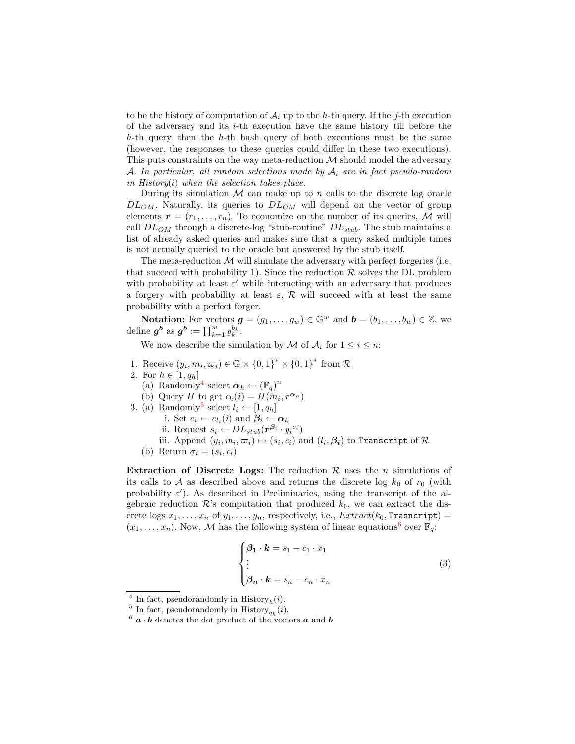to be the history of computation of  $\mathcal{A}_i$  up to the h-th query. If the j-th execution of the adversary and its i-th execution have the same history till before the  $h$ -th query, then the  $h$ -th hash query of both executions must be the same (however, the responses to these queries could differ in these two executions). This puts constraints on the way meta-reduction  $M$  should model the adversary A. In particular, all random selections made by  $A_i$  are in fact pseudo-random in History $(i)$  when the selection takes place.

During its simulation  $M$  can make up to n calls to the discrete log oracle  $DL_{OM}$ . Naturally, its queries to  $DL_{OM}$  will depend on the vector of group elements  $\mathbf{r} = (r_1, \ldots, r_n)$ . To economize on the number of its queries, M will call  $DL_{OM}$  through a discrete-log "stub-routine"  $DL_{stab}$ . The stub maintains a list of already asked queries and makes sure that a query asked multiple times is not actually queried to the oracle but answered by the stub itself.

The meta-reduction  $M$  will simulate the adversary with perfect forgeries (i.e. that succeed with probability 1). Since the reduction  $\mathcal R$  solves the DL problem with probability at least  $\varepsilon'$  while interacting with an adversary that produces a forgery with probability at least  $\varepsilon$ ,  $\mathcal{R}$  will succeed with at least the same probability with a perfect forger.

**Notation:** For vectors  $g = (g_1, \ldots, g_w) \in \mathbb{G}^w$  and  $b = (b_1, \ldots, b_w) \in \mathbb{Z}$ , we define  $g^b$  as  $g^b := \prod_{k=1}^w g_k^{b_k}$ .

We now describe the simulation by M of  $A_i$  for  $1 \leq i \leq n$ :

- 1. Receive  $(y_i, m_i, \varpi_i) \in \mathbb{G} \times \{0, 1\}^* \times \{0, 1\}^*$  from R
- 2. For  $h \in [1, q_h]$ 
	- (a) Randomly<sup>[4](#page-6-0)</sup> select  $\boldsymbol{\alpha}_h \leftarrow (\mathbb{F}_q)^n$
	- (b) Query H to get  $c_h(i) = H(m_i, \mathbf{r}^{\alpha_h})$
- 3. (a) Randomly<sup>[5](#page-6-1)</sup> select  $l_i \leftarrow [1, q_h]$ 
	- i. Set  $c_i \leftarrow c_{l_i}(i)$  and  $\boldsymbol{\beta}_i \leftarrow \boldsymbol{\alpha}_{l_i}$
	- ii. Request  $s_i \leftarrow DL_{stab}(r^{\beta_i} \cdot y_i^{c_i})$
	- iii. Append  $(y_i, m_i, \varpi_i) \mapsto (s_i, c_i)$  and  $(l_i, \beta_i)$  to Transcript of  $\mathcal R$
	- (b) Return  $\sigma_i = (s_i, c_i)$

Extraction of Discrete Logs: The reduction  $\mathcal R$  uses the *n* simulations of its calls to A as described above and returns the discrete log  $k_0$  of  $r_0$  (with probability  $\varepsilon'$ ). As described in Preliminaries, using the transcript of the algebraic reduction  $\mathcal{R}$ 's computation that produced  $k_0$ , we can extract the discrete logs  $x_1, \ldots, x_n$  of  $y_1, \ldots, y_n$ , respectively, i.e.,  $Extract(k_0, \texttt{Transcript}) =$  $(x_1, \ldots, x_n)$ . Now, M has the following system of linear equations<sup>[6](#page-6-2)</sup> over  $\mathbb{F}_q$ :

$$
\begin{cases}\n\beta_1 \cdot k = s_1 - c_1 \cdot x_1 \\
\vdots \\
\beta_n \cdot k = s_n - c_n \cdot x_n\n\end{cases}
$$
\n(3)

<span id="page-6-3"></span><span id="page-6-0"></span><sup>&</sup>lt;sup>4</sup> In fact, pseudorandomly in History<sub>h</sub>(i).

<span id="page-6-1"></span><sup>&</sup>lt;sup>5</sup> In fact, pseudorandomly in History<sub>q<sub>h</sub></sub> $(i)$ .

<span id="page-6-2"></span> $6\ a\cdot b$  denotes the dot product of the vectors  $a$  and  $b$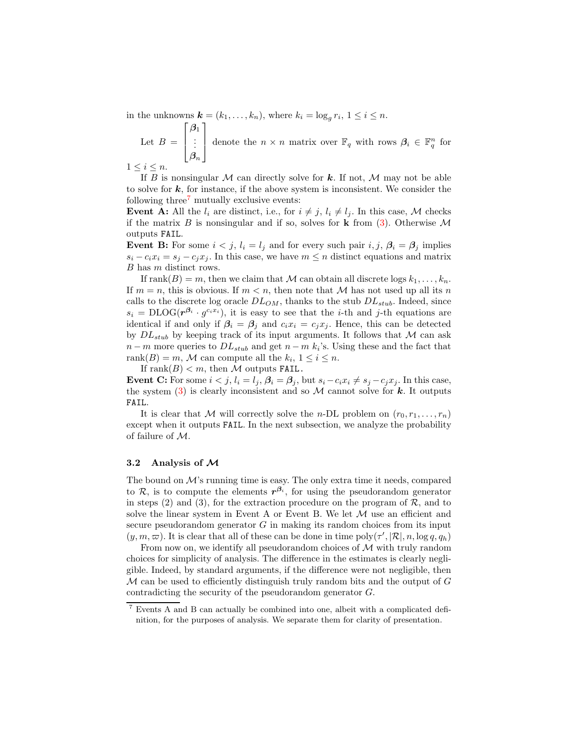in the unknowns  $\mathbf{k} = (k_1, \ldots, k_n)$ , where  $k_i = \log_g r_i$ ,  $1 \leq i \leq n$ .

Let  $B =$  $\sqrt{ }$  $\overline{\phantom{a}}$  $\beta_1$ . . .  $\bm{\beta}_n$ 1 denote the  $n \times n$  matrix over  $\mathbb{F}_q$  with rows  $\beta_i \in \mathbb{F}_q^n$  for

 $1 \leq i \leq n$ .

If B is nonsingular M can directly solve for k. If not, M may not be able to solve for  $k$ , for instance, if the above system is inconsistent. We consider the following three<sup> $7$ </sup> mutually exclusive events:

**Event A:** All the  $l_i$  are distinct, i.e., for  $i \neq j$ ,  $l_i \neq l_j$ . In this case, M checks if the matrix B is nonsingular and if so, solves for **k** from [\(3\)](#page-6-3). Otherwise  $\mathcal{M}$ outputs FAIL.

**Event B:** For some  $i < j$ ,  $l_i = l_j$  and for every such pair  $i, j, \beta_i = \beta_j$  implies  $s_i - c_i x_i = s_j - c_j x_j$ . In this case, we have  $m \leq n$  distinct equations and matrix B has m distinct rows.

If rank $(B) = m$ , then we claim that M can obtain all discrete logs  $k_1, \ldots, k_n$ . If  $m = n$ , this is obvious. If  $m < n$ , then note that M has not used up all its n calls to the discrete log oracle  $DL_{OM}$ , thanks to the stub  $DL_{stab}$ . Indeed, since  $s_i = \text{DLOG}(r^{\beta_i} \cdot g^{c_i x_i}),$  it is easy to see that the *i*-th and *j*-th equations are identical if and only if  $\beta_i = \beta_j$  and  $c_i x_i = c_j x_j$ . Hence, this can be detected by  $DL_{stab}$  by keeping track of its input arguments. It follows that M can ask  $n-m$  more queries to  $DL_{stab}$  and get  $n-m$  k<sub>i</sub>'s. Using these and the fact that rank $(B) = m$ , M can compute all the  $k_i$ ,  $1 \leq i \leq n$ .

If rank $(B) < m$ , then M outputs FAIL.

**Event C:** For some  $i < j$ ,  $l_i = l_j$ ,  $\beta_i = \beta_j$ , but  $s_i - c_i x_i \neq s_j - c_j x_j$ . In this case, the system  $(3)$  is clearly inconsistent and so M cannot solve for k. It outputs FAIL.

It is clear that M will correctly solve the *n*-DL problem on  $(r_0, r_1, \ldots, r_n)$ except when it outputs FAIL. In the next subsection, we analyze the probability of failure of M.

#### 3.2 Analysis of  $M$

The bound on  $\mathcal{M}$ 's running time is easy. The only extra time it needs, compared to  $\mathcal{R}$ , is to compute the elements  $r^{\beta_i}$ , for using the pseudorandom generator in steps  $(2)$  and  $(3)$ , for the extraction procedure on the program of  $\mathcal{R}$ , and to solve the linear system in Event A or Event B. We let  $M$  use an efficient and secure pseudorandom generator  $G$  in making its random choices from its input  $(y, m, \overline{\omega})$ . It is clear that all of these can be done in time  $\text{poly}(\tau', |\mathcal{R}|, n, \log q, q_h)$ 

From now on, we identify all pseudorandom choices of  $\mathcal M$  with truly random choices for simplicity of analysis. The difference in the estimates is clearly negligible. Indeed, by standard arguments, if the difference were not negligible, then  $\mathcal M$  can be used to efficiently distinguish truly random bits and the output of  $G$ contradicting the security of the pseudorandom generator G.

<span id="page-7-0"></span><sup>7</sup> Events A and B can actually be combined into one, albeit with a complicated definition, for the purposes of analysis. We separate them for clarity of presentation.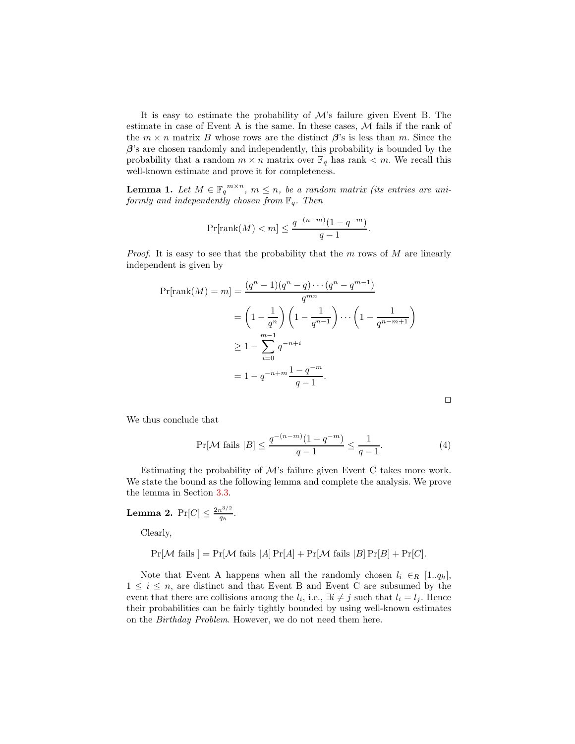It is easy to estimate the probability of  $\mathcal{M}$ 's failure given Event B. The estimate in case of Event A is the same. In these cases,  $M$  fails if the rank of the  $m \times n$  matrix B whose rows are the distinct  $\beta$ 's is less than m. Since the  $\beta$ 's are chosen randomly and independently, this probability is bounded by the probability that a random  $m \times n$  matrix over  $\mathbb{F}_q$  has rank  $\lt m$ . We recall this well-known estimate and prove it for completeness.

**Lemma 1.** Let  $M \in \mathbb{F}_q^{m \times n}$ ,  $m \leq n$ , be a random matrix (its entries are uniformly and independently chosen from  $\mathbb{F}_q$ . Then

$$
\Pr[\text{rank}(M) < m] \le \frac{q^{-(n-m)}(1 - q^{-m})}{q - 1}
$$

.

*Proof.* It is easy to see that the probability that the  $m$  rows of  $M$  are linearly independent is given by

$$
\Pr[\text{rank}(M) = m] = \frac{(q^n - 1)(q^n - q) \cdots (q^n - q^{m-1})}{q^{mn}}
$$
  
=  $\left(1 - \frac{1}{q^n}\right) \left(1 - \frac{1}{q^{n-1}}\right) \cdots \left(1 - \frac{1}{q^{n-m+1}}\right)$   

$$
\geq 1 - \sum_{i=0}^{m-1} q^{-n+i}
$$
  
=  $1 - q^{-n+m} \frac{1 - q^{-m}}{q - 1}.$ 

⊓⊔

<span id="page-8-0"></span>We thus conclude that

$$
\Pr[\mathcal{M} \text{ fails } |B] \le \frac{q^{-(n-m)}(1 - q^{-m})}{q - 1} \le \frac{1}{q - 1}.\tag{4}
$$

<span id="page-8-1"></span>Estimating the probability of  $\mathcal{M}$ 's failure given Event C takes more work. We state the bound as the following lemma and complete the analysis. We prove the lemma in Section [3.3.](#page-9-0)

**Lemma 2.**  $Pr[C] \leq \frac{2n^{3/2}}{q_h}$  $rac{1}{q_h}$ .

Clearly,

$$
Pr[\mathcal{M} \text{ fails }] = Pr[\mathcal{M} \text{ fails } |A] Pr[A] + Pr[\mathcal{M} \text{ fails } |B] Pr[B] + Pr[C].
$$

Note that Event A happens when all the randomly chosen  $l_i \in_R [1..q_h],$  $1 \leq i \leq n$ , are distinct and that Event B and Event C are subsumed by the event that there are collisions among the  $l_i$ , i.e.,  $\exists i \neq j$  such that  $l_i = l_j$ . Hence their probabilities can be fairly tightly bounded by using well-known estimates on the Birthday Problem. However, we do not need them here.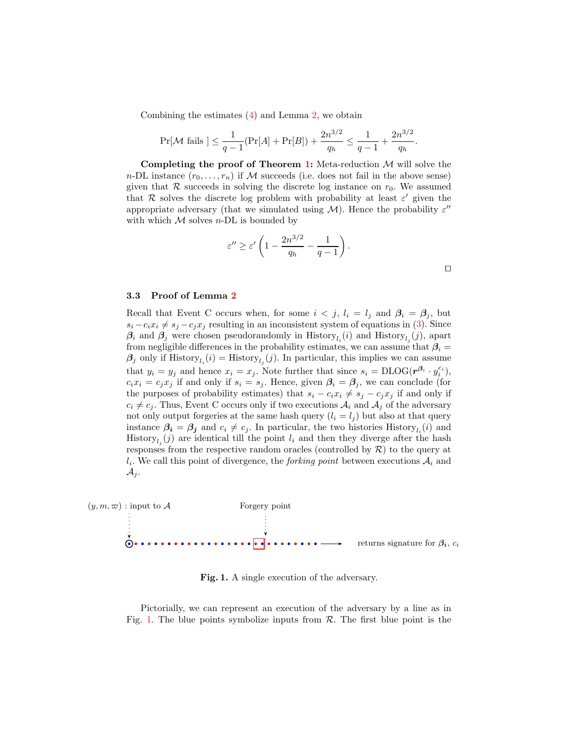Combining the estimates [\(4\)](#page-8-0) and Lemma [2,](#page-8-1) we obtain

$$
\Pr[\mathcal{M} \text{ fails }] \le \frac{1}{q-1} (\Pr[A] + \Pr[B]) + \frac{2n^{3/2}}{q_h} \le \frac{1}{q-1} + \frac{2n^{3/2}}{q_h}.
$$

Completing the proof of Theorem [1:](#page-4-2) Meta-reduction  $M$  will solve the n-DL instance  $(r_0, \ldots, r_n)$  if M succeeds (i.e. does not fail in the above sense) given that  $R$  succeeds in solving the discrete log instance on  $r_0$ . We assumed that  $\mathcal R$  solves the discrete log problem with probability at least  $\varepsilon'$  given the appropriate adversary (that we simulated using  $\mathcal M).$  Hence the probability  $\varepsilon''$ with which  $M$  solves *n*-DL is bounded by

$$
\varepsilon'' \ge \varepsilon' \left(1 - \frac{2n^{3/2}}{q_h} - \frac{1}{q-1}\right).
$$

⊓⊔

#### <span id="page-9-0"></span>3.3 Proof of Lemma [2](#page-8-1)

Recall that Event C occurs when, for some  $i < j$ ,  $l_i = l_j$  and  $\beta_i = \beta_j$ , but  $s_i - c_i x_i \neq s_j - c_j x_j$  resulting in an inconsistent system of equations in [\(3\)](#page-6-3). Since  $\beta_i$  and  $\beta_j$  were chosen pseudorandomly in History<sub>l<sub>i</sub></sub> $(i)$  and History<sub>l<sub>j</sub> $(j)$ , apart</sub> from negligible differences in the probability estimates, we can assume that  $\beta_i =$  $\beta_j$  only if  $\text{History}_{l_i}(i) = \text{History}_{l_j}(j)$ . In particular, this implies we can assume that  $y_i = y_j$  and hence  $x_i = x_j$ . Note further that since  $s_i = \text{DLOG}(r^{\beta_i} \cdot y_i^{c_i}),$  $c_i x_i = c_j x_j$  if and only if  $s_i = s_j$ . Hence, given  $\beta_i = \beta_j$ , we can conclude (for the purposes of probability estimates) that  $s_i - c_i x_i \neq s_j - c_j x_j$  if and only if  $c_i \neq c_j$ . Thus, Event C occurs only if two executions  $A_i$  and  $A_j$  of the adversary not only output forgeries at the same hash query  $(l_i = l_j)$  but also at that query instance  $\beta_i = \beta_j$  and  $c_i \neq c_j$ . In particular, the two histories History<sub>l<sub>i</sub></sub>(*i*) and History<sub>l<sub>j</sub></sub> $(j)$  are identical till the point  $l_i$  and then they diverge after the hash responses from the respective random oracles (controlled by  $R$ ) to the query at  $l_i$ . We call this point of divergence, the *forking point* between executions  $A_i$  and  $\mathcal{A}_j$ .



<span id="page-9-1"></span>Fig. 1. A single execution of the adversary.

Pictorially, we can represent an execution of the adversary by a line as in Fig. [1.](#page-9-1) The blue points symbolize inputs from  $\mathcal{R}$ . The first blue point is the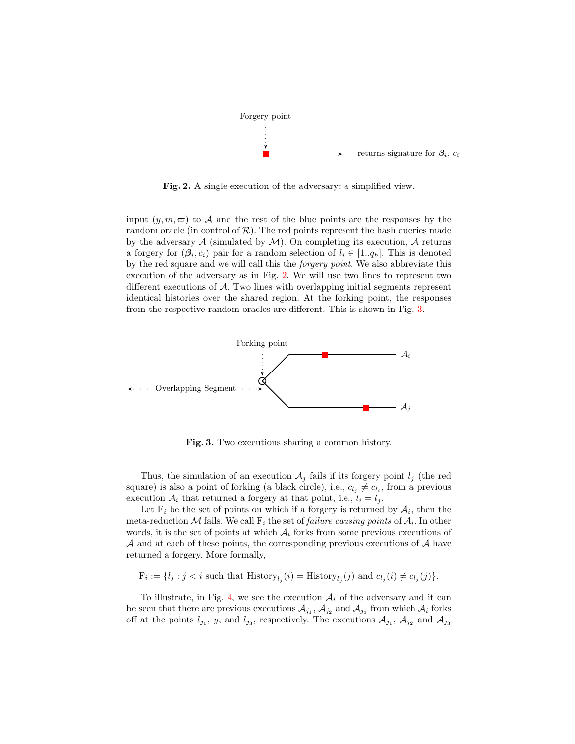

<span id="page-10-0"></span>Fig. 2. A single execution of the adversary: a simplified view.

input  $(y, m, \varpi)$  to A and the rest of the blue points are the responses by the random oracle (in control of  $\mathcal{R}$ ). The red points represent the hash queries made by the adversary  $A$  (simulated by  $M$ ). On completing its execution,  $A$  returns a forgery for  $(\beta_i, c_i)$  pair for a random selection of  $l_i \in [1..q_h]$ . This is denoted by the red square and we will call this the forgery point. We also abbreviate this execution of the adversary as in Fig. [2.](#page-10-0) We will use two lines to represent two different executions of A. Two lines with overlapping initial segments represent identical histories over the shared region. At the forking point, the responses from the respective random oracles are different. This is shown in Fig. [3.](#page-10-1)



<span id="page-10-1"></span>Fig. 3. Two executions sharing a common history.

Thus, the simulation of an execution  $A_j$  fails if its forgery point  $l_j$  (the red square) is also a point of forking (a black circle), i.e.,  $c_{l_j} \neq c_{l_i}$ , from a previous execution  $A_i$  that returned a forgery at that point, i.e.,  $l_i = l_j$ .

Let  $F_i$  be the set of points on which if a forgery is returned by  $A_i$ , then the meta-reduction M fails. We call  $F_i$  the set of *failure causing points* of  $A_i$ . In other words, it is the set of points at which  $A_i$  forks from some previous executions of  $\mathcal A$  and at each of these points, the corresponding previous executions of  $\mathcal A$  have returned a forgery. More formally,

 $F_i := \{l_j : j < i \text{ such that } H \text{istory}_{l_j}(i) = H \text{istory}_{l_j}(j) \text{ and } c_{l_j}(i) \neq c_{l_j}(j)\}.$ 

To illustrate, in Fig. [4,](#page-11-0) we see the execution  $A_i$  of the adversary and it can be seen that there are previous executions  $A_{j_1}$ ,  $A_{j_2}$  and  $A_{j_3}$  from which  $A_i$  forks off at the points  $l_{j_1}$ , y, and  $l_{j_3}$ , respectively. The executions  $A_{j_1}$ ,  $A_{j_2}$  and  $A_{j_3}$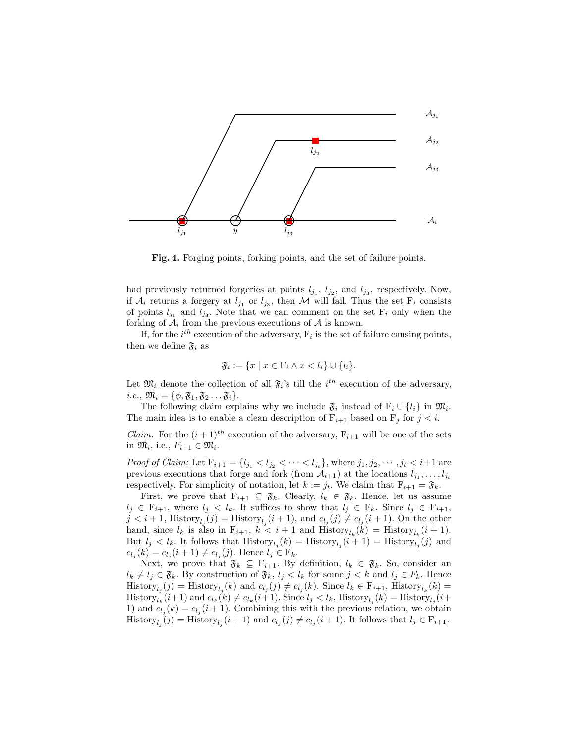

<span id="page-11-0"></span>Fig. 4. Forging points, forking points, and the set of failure points.

had previously returned forgeries at points  $l_{j_1}, l_{j_2},$  and  $l_{j_3}$ , respectively. Now, if  $A_i$  returns a forgery at  $l_{j_1}$  or  $l_{j_3}$ , then M will fail. Thus the set  $F_i$  consists of points  $l_{j_1}$  and  $l_{j_3}$ . Note that we can comment on the set  $F_i$  only when the forking of  $A_i$  from the previous executions of A is known.

If, for the  $i^{th}$  execution of the adversary,  $F_i$  is the set of failure causing points, then we define  $\mathfrak{F}_i$  as

$$
\mathfrak{F}_i := \{ x \mid x \in \mathcal{F}_i \land x < l_i \} \cup \{ l_i \}.
$$

Let  $\mathfrak{M}_i$  denote the collection of all  $\mathfrak{F}_i$ 's till the  $i^{th}$  execution of the adversary, *i.e.*,  $\mathfrak{M}_i = {\phi, \mathfrak{F}_1, \mathfrak{F}_2 \dots \mathfrak{F}_i}.$ 

The following claim explains why we include  $\mathfrak{F}_i$  instead of  $F_i \cup \{l_i\}$  in  $\mathfrak{M}_i$ . The main idea is to enable a clean description of  $F_{i+1}$  based on  $F_j$  for  $j < i$ .

*Claim.* For the  $(i+1)^{th}$  execution of the adversary,  $F_{i+1}$  will be one of the sets in  $\mathfrak{M}_i$ , i.e.,  $F_{i+1} \in \mathfrak{M}_i$ .

*Proof of Claim:* Let  $F_{i+1} = \{l_{j_1} < l_{j_2} < \cdots < l_{j_t}\}$ , where  $j_1, j_2, \cdots, j_t < i+1$  are previous executions that forge and fork (from  $A_{i+1}$ ) at the locations  $l_{j_1}, \ldots, l_{j_t}$ respectively. For simplicity of notation, let  $k := j_t$ . We claim that  $F_{i+1} = \mathfrak{F}_k$ .

First, we prove that  $F_{i+1} \subseteq \mathfrak{F}_k$ . Clearly,  $l_k \in \mathfrak{F}_k$ . Hence, let us assume  $l_i \in F_{i+1}$ , where  $l_i < l_k$ . It suffices to show that  $l_i \in F_k$ . Since  $l_i \in F_{i+1}$ ,  $j < i+1$ , History $l_j(j) =$  History $l_j(i+1)$ , and  $c_l(j) \neq c_{l_j}(i+1)$ . On the other hand, since  $l_k$  is also in  $F_{i+1}$ ,  $k < i+1$  and  $H$ istory $l_k(k) = H$ istory $l_k(i+1)$ . But  $l_j < l_k$ . It follows that  $\text{History}_{l_j}(k) = \text{History}_{l_j}(i+1) = \text{History}_{l_j}(j)$  and  $c_{l_j}(k) = c_{l_j}(i+1) \neq c_{l_j}(j)$ . Hence  $l_j \in \mathbb{F}_k$ .

Next, we prove that  $\mathfrak{F}_k \subseteq F_{i+1}$ . By definition,  $l_k \in \mathfrak{F}_k$ . So, consider an  $l_k \neq l_j \in \mathfrak{F}_k$ . By construction of  $\mathfrak{F}_k$ ,  $l_j < l_k$  for some  $j < k$  and  $l_j \in F_k$ . Hence  $\text{History}_{l_j}(j) = \text{History}_{l_j}(k)$  and  $c_{l_j}(j) \neq c_{l_j}(k)$ . Since  $l_k \in \mathcal{F}_{i+1}$ ,  $\text{History}_{l_k}(k) =$  $\text{History}_{l_k}(i+1)$  and  $c_{l_k}(k) \neq c_{l_k}(i+1)$ . Since  $l_j < l_k$ ,  $\text{History}_{l_j}(k) = \text{History}_{l_j}(i+1)$ 1) and  $c_{l_j}(k) = c_{l_j}(i + 1)$ . Combining this with the previous relation, we obtain  $\text{History}_{l_j}(j) = \text{History}_{l_j}(i+1) \text{ and } c_{l_j}(j) \neq c_{l_j}(i+1). \text{ It follows that } l_j \in \mathcal{F}_{i+1}.$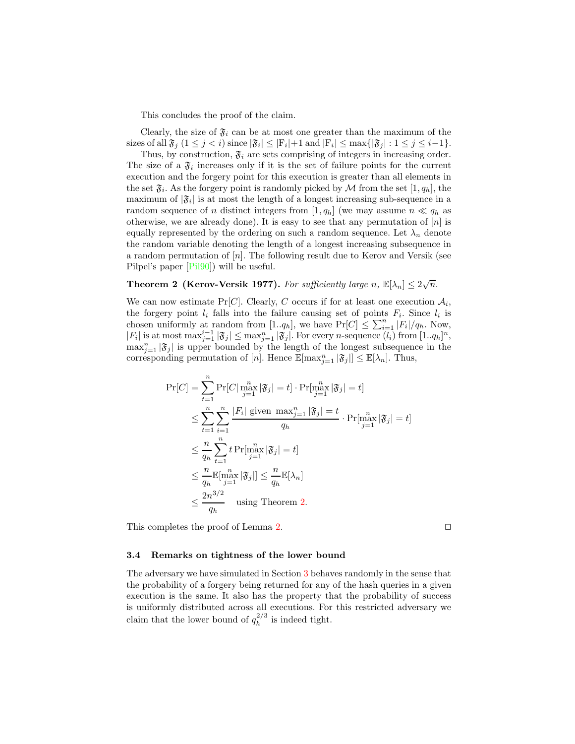This concludes the proof of the claim.

Clearly, the size of  $\mathfrak{F}_i$  can be at most one greater than the maximum of the sizes of all  $\mathfrak{F}_j$   $(1 \leq j < i)$  since  $|\mathfrak{F}_i| \leq |\mathbf{F}_i| + 1$  and  $|\mathbf{F}_i| \leq \max\{|\mathfrak{F}_j| : 1 \leq j \leq i-1\}.$ 

Thus, by construction,  $\mathfrak{F}_i$  are sets comprising of integers in increasing order. The size of a  $\mathfrak{F}_i$  increases only if it is the set of failure points for the current execution and the forgery point for this execution is greater than all elements in the set  $\mathfrak{F}_i$ . As the forgery point is randomly picked by M from the set  $[1, q_h]$ , the maximum of  $|\mathfrak{F}_i|$  is at most the length of a longest increasing sub-sequence in a random sequence of n distinct integers from [1,  $q_h$ ] (we may assume  $n \ll q_h$  as otherwise, we are already done). It is easy to see that any permutation of  $[n]$  is equally represented by the ordering on such a random sequence. Let  $\lambda_n$  denote the random variable denoting the length of a longest increasing subsequence in a random permutation of  $[n]$ . The following result due to Kerov and Versik (see Pilpel's paper [\[Pil90\]](#page-14-3)) will be useful.

# <span id="page-12-0"></span>**Theorem 2 (Kerov-Versik 1977).** For sufficiently large n,  $\mathbb{E}[\lambda_n] \leq 2\sqrt{n}$ .

We can now estimate  $Pr[C]$ . Clearly, C occurs if for at least one execution  $A_i$ , the forgery point  $l_i$  falls into the failure causing set of points  $F_i$ . Since  $l_i$  is chosen uniformly at random from  $[1..q_h]$ , we have  $Pr[C] \leq \sum_{i=1}^n |F_i|/q_h$ . Now,  $|F_i|$  is at most  $\max_{j=1}^{i-1} |\mathfrak{F}_j| \le \max_{j=1}^{n} |\mathfrak{F}_j|$ . For every *n*-sequence  $(l_i)$  from  $[1..q_h]^n$ ,  $\max_{j=1}^{n} |\mathfrak{F}_j|$  is upper bounded by the length of the longest subsequence in the corresponding permutation of [n]. Hence  $\mathbb{E}[\max_{j=1}^{n} |\mathfrak{F}_{j}|] \leq \mathbb{E}[\lambda_{n}]$ . Thus,

$$
\Pr[C] = \sum_{t=1}^{n} \Pr[C|\max_{j=1}^{n}|\mathfrak{F}_{j}| = t] \cdot \Pr[\max_{j=1}^{n}|\mathfrak{F}_{j}| = t]
$$
  
\n
$$
\leq \sum_{t=1}^{n} \sum_{i=1}^{n} \frac{|F_{i}| \text{ given } \max_{j=1}^{n}|\mathfrak{F}_{j}| = t}{q_{h}} \cdot \Pr[\max_{j=1}^{n}|\mathfrak{F}_{j}| = t]
$$
  
\n
$$
\leq \frac{n}{q_{h}} \sum_{t=1}^{n} t \Pr[\max_{j=1}^{n}|\mathfrak{F}_{j}| = t]
$$
  
\n
$$
\leq \frac{n}{q_{h}} \mathbb{E}[\max_{j=1}^{n}|\mathfrak{F}_{j}|] \leq \frac{n}{q_{h}} \mathbb{E}[\lambda_{n}]
$$
  
\n
$$
\leq \frac{2n^{3/2}}{q_{h}} \quad \text{using Theorem 2.}
$$

This completes the proof of Lemma [2.](#page-8-1) □

#### 3.4 Remarks on tightness of the lower bound

The adversary we have simulated in Section [3](#page-4-0) behaves randomly in the sense that the probability of a forgery being returned for any of the hash queries in a given execution is the same. It also has the property that the probability of success is uniformly distributed across all executions. For this restricted adversary we claim that the lower bound of  $q_h^{2/3}$  $h^{2/3}$  is indeed tight.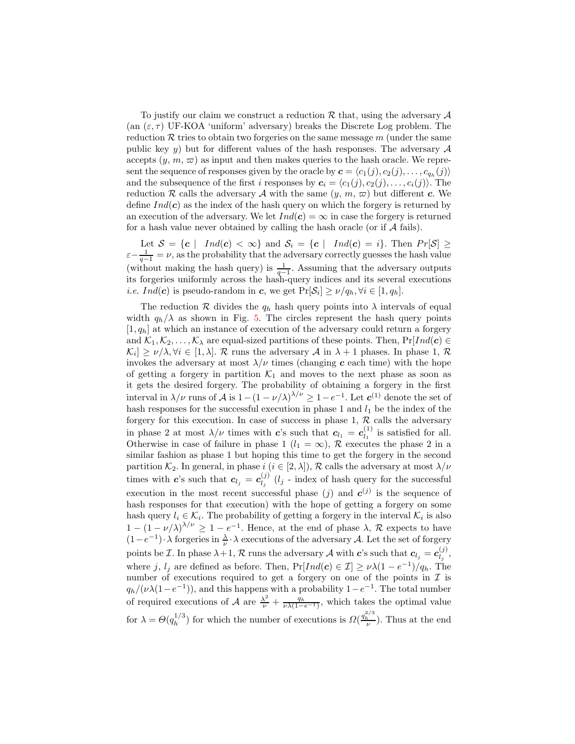To justify our claim we construct a reduction  $\mathcal R$  that, using the adversary  $\mathcal A$ (an  $(\varepsilon, \tau)$  UF-KOA 'uniform' adversary) breaks the Discrete Log problem. The reduction  $\mathcal R$  tries to obtain two forgeries on the same message  $m$  (under the same public key y) but for different values of the hash responses. The adversary  $A$ accepts  $(y, m, \varpi)$  as input and then makes queries to the hash oracle. We represent the sequence of responses given by the oracle by  $\boldsymbol{c} = \langle c_1(j), c_2(j), \ldots, c_{q_h}(j) \rangle$ and the subsequence of the first i responses by  $c_i = \langle c_1(j), c_2(j), \ldots, c_i(j) \rangle$ . The reduction R calls the adversary A with the same  $(y, m, \varpi)$  but different c. We define  $Ind(c)$  as the index of the hash query on which the forgery is returned by an execution of the adversary. We let  $Ind(c) = \infty$  in case the forgery is returned for a hash value never obtained by calling the hash oracle (or if  $A$  fails).

Let  $S = \{c \mid Ind(c) < \infty\}$  and  $S_i = \{c \mid Ind(c) = i\}$ . Then  $Pr[S] \ge$  $\varepsilon-\frac{1}{q-1}=\nu$ , as the probability that the adversary correctly guesses the hash value (without making the hash query) is  $\frac{1}{q-1}$ . Assuming that the adversary outputs its forgeries uniformly across the hash-query indices and its several executions *i.e.*  $Ind(c)$  is pseudo-random in c, we get  $Pr[\mathcal{S}_i] \ge \nu/q_h, \forall i \in [1, q_h].$ 

The reduction R divides the  $q_h$  hash query points into  $\lambda$  intervals of equal width  $q_h/\lambda$  as shown in Fig. [5.](#page-14-6) The circles represent the hash query points  $[1, q_h]$  at which an instance of execution of the adversary could return a forgery and  $\mathcal{K}_1, \mathcal{K}_2, \ldots, \mathcal{K}_\lambda$  are equal-sized partitions of these points. Then,  $Pr[Ind(c) \in$  $|\mathcal{K}_i| \geq \nu/\lambda, \forall i \in [1, \lambda]$ . R runs the adversary A in  $\lambda + 1$  phases. In phase 1, R invokes the adversary at most  $\lambda/\nu$  times (changing c each time) with the hope of getting a forgery in partition  $\mathcal{K}_1$  and moves to the next phase as soon as it gets the desired forgery. The probability of obtaining a forgery in the first interval in  $\lambda/\nu$  runs of A is  $1-(1-\nu/\lambda)^{\lambda/\nu} \geq 1-e^{-1}$ . Let  $c^{(1)}$  denote the set of hash responses for the successful execution in phase 1 and  $l_1$  be the index of the forgery for this execution. In case of success in phase  $1, R$  calls the adversary in phase 2 at most  $\lambda/\nu$  times with c's such that  $c_{l_1} = c_{l_1}^{(1)}$  $\binom{1}{l_1}$  is satisfied for all. Otherwise in case of failure in phase 1 ( $l_1 = \infty$ ), R executes the phase 2 in a similar fashion as phase 1 but hoping this time to get the forgery in the second partition  $\mathcal{K}_2$ . In general, in phase  $i$   $(i \in [2, \lambda])$ ,  $\mathcal{R}$  calls the adversary at most  $\lambda/\nu$ times with c's such that  $c_{l_j} = c_{l_j}^{(j)}$  $\binom{1}{l_j}$  (*l<sub>j</sub>* - index of hash query for the successful execution in the most recent successful phase (j) and  $c^{(j)}$  is the sequence of hash responses for that execution) with the hope of getting a forgery on some hash query  $l_i \in \mathcal{K}_i$ . The probability of getting a forgery in the interval  $\mathcal{K}_i$  is also  $1 - (1 - \nu/\lambda)^{\lambda/\nu} \ge 1 - e^{-1}$ . Hence, at the end of phase  $\lambda$ , R expects to have  $(1-e^{-1})\cdot \lambda$  forgeries in  $\frac{\lambda}{\nu}\cdot \lambda$  executions of the adversary A. Let the set of forgery points be *I*. In phase  $\lambda + 1$ , *R* runs the adversary *A* with *c*'s such that  $c_{l_j} = c_{l_j}^{(j)}$  $l_j^{(J)},$ where j,  $l_j$  are defined as before. Then,  $Pr[Ind(c) \in \mathcal{I}] \geq \nu \lambda (1 - e^{-1})/q_h$ . The number of executions required to get a forgery on one of the points in  $\mathcal I$  is  $q_h/(\nu\lambda(1-e^{-1}))$ , and this happens with a probability  $1-e^{-1}$ . The total number of required executions of A are  $\frac{\lambda^2}{\nu} + \frac{q_h}{\nu \lambda (1-e^{-1})}$ , which takes the optimal value for  $\lambda = \Theta(q_h^{1/3})$  $\ln^{1/3}$ ) for which the number of executions is  $\Omega(\frac{q_h^{2/3}}{\nu})$ . Thus at the end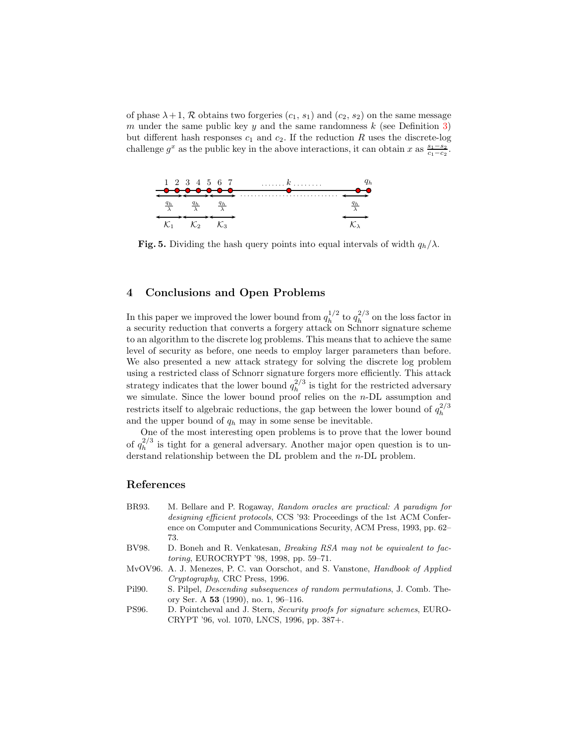of phase  $\lambda + 1$ , R obtains two forgeries  $(c_1, s_1)$  and  $(c_2, s_2)$  on the same message m under the same public key y and the same randomness  $k$  (see Definition [3\)](#page-3-0) but different hash responses  $c_1$  and  $c_2$ . If the reduction R uses the discrete-log challenge  $g^x$  as the public key in the above interactions, it can obtain x as  $\frac{s_1-s_2}{c_1-c_2}$ .



<span id="page-14-6"></span>Fig. 5. Dividing the hash query points into equal intervals of width  $q_h/\lambda$ .

#### <span id="page-14-4"></span>4 Conclusions and Open Problems

In this paper we improved the lower bound from  $q_h^{1/2}$  $n_h^{1/2}$  to  $q_h^{2/3}$  $h^{2/3}$  on the loss factor in a security reduction that converts a forgery attack on Schnorr signature scheme to an algorithm to the discrete log problems. This means that to achieve the same level of security as before, one needs to employ larger parameters than before. We also presented a new attack strategy for solving the discrete log problem using a restricted class of Schnorr signature forgers more efficiently. This attack strategy indicates that the lower bound  $q_h^{2/3}$  $h_h^{2/3}$  is tight for the restricted adversary we simulate. Since the lower bound proof relies on the n-DL assumption and restricts itself to algebraic reductions, the gap between the lower bound of  $q_h^{2/3}$ h and the upper bound of  $q_h$  may in some sense be inevitable.

One of the most interesting open problems is to prove that the lower bound of  $q_h^{2/3}$  $h_h^{2/3}$  is tight for a general adversary. Another major open question is to understand relationship between the DL problem and the n-DL problem.

#### <span id="page-14-1"></span>References

- BR93. M. Bellare and P. Rogaway, Random oracles are practical: A paradigm for designing efficient protocols, CCS '93: Proceedings of the 1st ACM Conference on Computer and Communications Security, ACM Press, 1993, pp. 62– 73.
- <span id="page-14-5"></span><span id="page-14-2"></span>BV98. D. Boneh and R. Venkatesan, Breaking RSA may not be equivalent to factoring, EUROCRYPT '98, 1998, pp. 59–71.
- MvOV96. A. J. Menezes, P. C. van Oorschot, and S. Vanstone, Handbook of Applied Cryptography, CRC Press, 1996.
- <span id="page-14-3"></span>Pil90. S. Pilpel, Descending subsequences of random permutations, J. Comb. Theory Ser. A 53 (1990), no. 1, 96–116.
- <span id="page-14-0"></span>PS96. D. Pointcheval and J. Stern, Security proofs for signature schemes, EURO-CRYPT '96, vol. 1070, LNCS, 1996, pp. 387+.